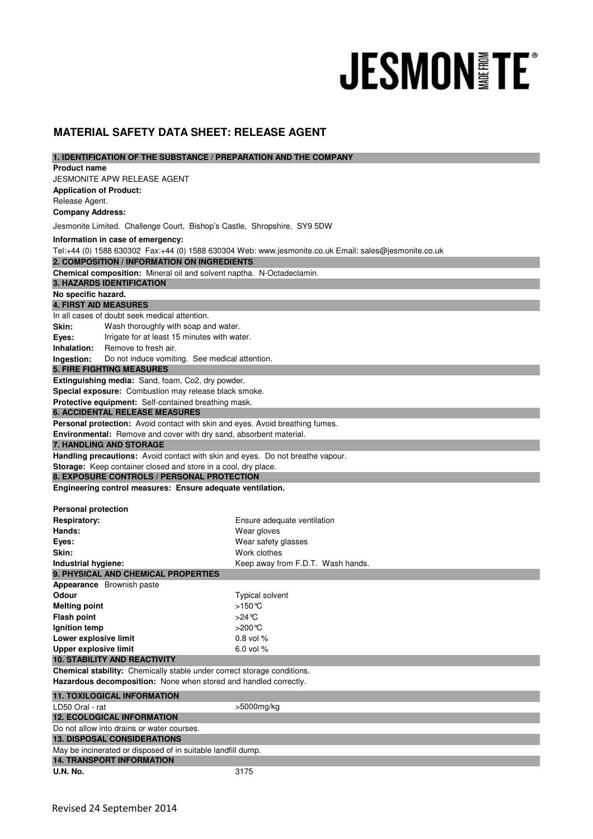## **JESMON FE®**

## **MATERIAL SAFETY DATA SHEET: RELEASE AGENT**

| 1. IDENTIFICATION OF THE SUBSTANCE / PREPARATION AND THE COMPANY                                                                            |                                                                |                                   |  |
|---------------------------------------------------------------------------------------------------------------------------------------------|----------------------------------------------------------------|-----------------------------------|--|
| <b>Product name</b>                                                                                                                         |                                                                |                                   |  |
|                                                                                                                                             | JESMONITE APW RELEASE AGENT                                    |                                   |  |
| <b>Application of Product:</b>                                                                                                              |                                                                |                                   |  |
| Release Agent.                                                                                                                              |                                                                |                                   |  |
| <b>Company Address:</b>                                                                                                                     |                                                                |                                   |  |
| Jesmonite Limited. Challenge Court, Bishop's Castle, Shropshire, SY9 5DW                                                                    |                                                                |                                   |  |
| Information in case of emergency:                                                                                                           |                                                                |                                   |  |
| Tel:+44 (0) 1588 630302 Fax:+44 (0) 1588 630304 Web: www.jesmonite.co.uk Email: sales@jesmonite.co.uk                                       |                                                                |                                   |  |
| 2. COMPOSITION / INFORMATION ON INGREDIENTS                                                                                                 |                                                                |                                   |  |
| <b>Chemical composition:</b> Mineral oil and solvent naptha. N-Octadeclamin.                                                                |                                                                |                                   |  |
| <b>3. HAZARDS IDENTIFICATION</b>                                                                                                            |                                                                |                                   |  |
| No specific hazard.                                                                                                                         |                                                                |                                   |  |
| <b>4. FIRST AID MEASURES</b>                                                                                                                |                                                                |                                   |  |
| In all cases of doubt seek medical attention.                                                                                               |                                                                |                                   |  |
| Skin:                                                                                                                                       | Wash thoroughly with soap and water.                           |                                   |  |
| Eyes:                                                                                                                                       | Irrigate for at least 15 minutes with water.                   |                                   |  |
| Inhalation:                                                                                                                                 | Remove to fresh air.                                           |                                   |  |
| Ingestion:                                                                                                                                  | Do not induce vomiting. See medical attention.                 |                                   |  |
|                                                                                                                                             | <b>5. FIRE FIGHTING MEASURES</b>                               |                                   |  |
|                                                                                                                                             | Extinguishing media: Sand, foam, Co2, dry powder.              |                                   |  |
|                                                                                                                                             | Special exposure: Combustion may release black smoke.          |                                   |  |
| Protective equipment: Self-contained breathing mask.                                                                                        |                                                                |                                   |  |
| <b>6. ACCIDENTAL RELEASE MEASURES</b>                                                                                                       |                                                                |                                   |  |
| Personal protection: Avoid contact with skin and eyes. Avoid breathing fumes.                                                               |                                                                |                                   |  |
| Environmental: Remove and cover with dry sand, absorbent material.                                                                          |                                                                |                                   |  |
|                                                                                                                                             | <b>7. HANDLING AND STORAGE</b>                                 |                                   |  |
| Handling precautions: Avoid contact with skin and eyes. Do not breathe vapour.                                                              |                                                                |                                   |  |
|                                                                                                                                             | Storage: Keep container closed and store in a cool, dry place. |                                   |  |
| 8. EXPOSURE CONTROLS / PERSONAL PROTECTION                                                                                                  |                                                                |                                   |  |
|                                                                                                                                             | Engineering control measures: Ensure adequate ventilation.     |                                   |  |
| <b>Personal protection</b>                                                                                                                  |                                                                |                                   |  |
|                                                                                                                                             |                                                                |                                   |  |
| <b>Respiratory:</b>                                                                                                                         |                                                                | Ensure adequate ventilation       |  |
| Hands:                                                                                                                                      |                                                                | Wear gloves                       |  |
| Eyes:                                                                                                                                       |                                                                | Wear safety glasses               |  |
| Skin:                                                                                                                                       |                                                                | Work clothes                      |  |
| Industrial hygiene:                                                                                                                         |                                                                | Keep away from F.D.T. Wash hands. |  |
| 9. PHYSICAL AND CHEMICAL PROPERTIES<br>Appearance Brownish paste                                                                            |                                                                |                                   |  |
|                                                                                                                                             |                                                                |                                   |  |
| Odour                                                                                                                                       |                                                                | <b>Typical solvent</b>            |  |
| <b>Melting point</b>                                                                                                                        |                                                                | >150℃                             |  |
| <b>Flash point</b>                                                                                                                          |                                                                | >24 ℃                             |  |
| Ignition temp                                                                                                                               |                                                                | >200°C                            |  |
| Lower explosive limit                                                                                                                       |                                                                | $0.8$ vol $%$                     |  |
| <b>Upper explosive limit</b>                                                                                                                |                                                                | 6.0 vol %                         |  |
| <b>10. STABILITY AND REACTIVITY</b>                                                                                                         |                                                                |                                   |  |
| Chemical stability: Chemically stable under correct storage conditions.<br>Hazardous decomposition: None when stored and handled correctly. |                                                                |                                   |  |
|                                                                                                                                             |                                                                |                                   |  |
|                                                                                                                                             | <b>11. TOXILOGICAL INFORMATION</b>                             |                                   |  |
| LD50 Oral - rat                                                                                                                             |                                                                | >5000mg/kg                        |  |
| <b>12. ECOLOGICAL INFORMATION</b>                                                                                                           |                                                                |                                   |  |
| Do not allow into drains or water courses.                                                                                                  |                                                                |                                   |  |
| <b>13. DISPOSAL CONSIDERATIONS</b>                                                                                                          |                                                                |                                   |  |
| May be incinerated or disposed of in suitable landfill dump.<br><b>14. TRANSPORT INFORMATION</b>                                            |                                                                |                                   |  |
|                                                                                                                                             |                                                                |                                   |  |
| <b>U.N. No.</b>                                                                                                                             |                                                                | 3175                              |  |
|                                                                                                                                             |                                                                |                                   |  |